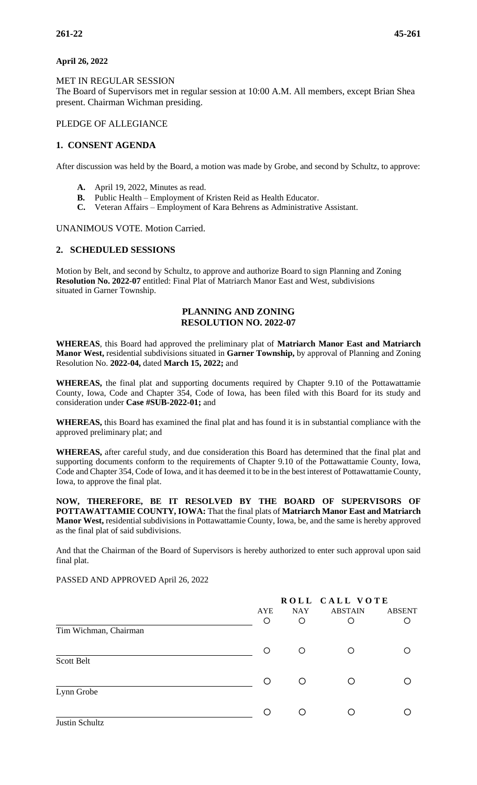## **April 26, 2022**

MET IN REGULAR SESSION

The Board of Supervisors met in regular session at 10:00 A.M. All members, except Brian Shea present. Chairman Wichman presiding.

# PLEDGE OF ALLEGIANCE

# **1. CONSENT AGENDA**

After discussion was held by the Board, a motion was made by Grobe, and second by Schultz, to approve:

- 
- **A.** April 19, 2022, Minutes as read.<br>**B.** Public Health Employment of Public Health – Employment of Kristen Reid as Health Educator.
- **C.** Veteran Affairs Employment of Kara Behrens as Administrative Assistant.

## UNANIMOUS VOTE. Motion Carried.

## **2. SCHEDULED SESSIONS**

Motion by Belt, and second by Schultz, to approve and authorize Board to sign Planning and Zoning **Resolution No. 2022-07** entitled: Final Plat of Matriarch Manor East and West, subdivisions situated in Garner Township.

## **PLANNING AND ZONING RESOLUTION NO. 2022-07**

**WHEREAS**, this Board had approved the preliminary plat of **Matriarch Manor East and Matriarch Manor West,** residential subdivisions situated in **Garner Township,** by approval of Planning and Zoning Resolution No. **2022-04,** dated **March 15, 2022;** and

**WHEREAS,** the final plat and supporting documents required by Chapter 9.10 of the Pottawattamie County, Iowa, Code and Chapter 354, Code of Iowa, has been filed with this Board for its study and consideration under **Case #SUB-2022-01;** and

**WHEREAS,** this Board has examined the final plat and has found it is in substantial compliance with the approved preliminary plat; and

**WHEREAS,** after careful study, and due consideration this Board has determined that the final plat and supporting documents conform to the requirements of Chapter 9.10 of the Pottawattamie County, Iowa, Code and Chapter 354, Code of Iowa, and it has deemed it to be in the best interest of Pottawattamie County, Iowa, to approve the final plat.

**NOW, THEREFORE, BE IT RESOLVED BY THE BOARD OF SUPERVISORS OF POTTAWATTAMIE COUNTY, IOWA:** That the final plats of **Matriarch Manor East and Matriarch Manor West,** residential subdivisions in Pottawattamie County, Iowa, be, and the same is hereby approved as the final plat of said subdivisions.

And that the Chairman of the Board of Supervisors is hereby authorized to enter such approval upon said final plat.

PASSED AND APPROVED April 26, 2022

|                       |         | ROLL CALL VOTE |                |               |
|-----------------------|---------|----------------|----------------|---------------|
|                       | AYE     | <b>NAY</b>     | <b>ABSTAIN</b> | <b>ABSENT</b> |
| Tim Wichman, Chairman | $\circ$ | O              | O              |               |
|                       | $\circ$ | O              | O              |               |
| Scott Belt            |         |                |                |               |
|                       | O       | $\bigcirc$     | ◯              |               |
| Lynn Grobe            |         |                |                |               |
|                       |         | ∩              |                |               |
| Justin Schultz        |         |                |                |               |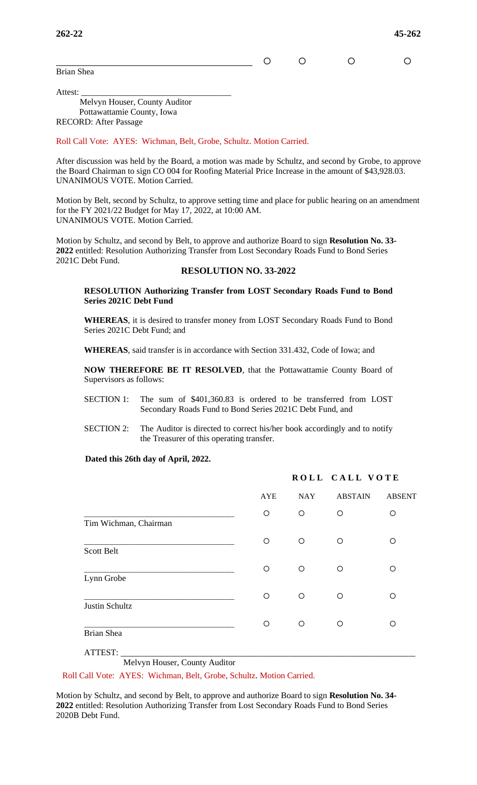Brian Shea

 $\circ$   $\circ$   $\circ$   $\circ$ 

Attest: \_\_\_\_\_\_\_\_\_\_\_\_\_\_\_\_\_\_\_\_\_\_\_\_\_\_\_\_\_\_\_\_\_\_\_ Melvyn Houser, County Auditor Pottawattamie County, Iowa RECORD: After Passage

Roll Call Vote: AYES: Wichman, Belt, Grobe, Schultz. Motion Carried.

After discussion was held by the Board, a motion was made by Schultz, and second by Grobe, to approve the Board Chairman to sign CO 004 for Roofing Material Price Increase in the amount of \$43,928.03. UNANIMOUS VOTE. Motion Carried.

Motion by Belt, second by Schultz, to approve setting time and place for public hearing on an amendment for the FY 2021/22 Budget for May 17, 2022, at 10:00 AM. UNANIMOUS VOTE. Motion Carried.

Motion by Schultz, and second by Belt, to approve and authorize Board to sign **Resolution No. 33- 2022** entitled: Resolution Authorizing Transfer from Lost Secondary Roads Fund to Bond Series 2021C Debt Fund.

## **RESOLUTION NO. 33-2022**

**RESOLUTION Authorizing Transfer from LOST Secondary Roads Fund to Bond Series 2021C Debt Fund**

**WHEREAS**, it is desired to transfer money from LOST Secondary Roads Fund to Bond Series 2021C Debt Fund; and

**WHEREAS**, said transfer is in accordance with Section 331.432, Code of Iowa; and

**NOW THEREFORE BE IT RESOLVED**, that the Pottawattamie County Board of Supervisors as follows:

- SECTION 1: The sum of \$401,360.83 is ordered to be transferred from LOST Secondary Roads Fund to Bond Series 2021C Debt Fund, and
- SECTION 2: The Auditor is directed to correct his/her book accordingly and to notify the Treasurer of this operating transfer.

#### **Dated this 26th day of April, 2022.**

|                       |            | ROLL CALL VOTE |                |               |  |
|-----------------------|------------|----------------|----------------|---------------|--|
|                       | AYE        | <b>NAY</b>     | <b>ABSTAIN</b> | <b>ABSENT</b> |  |
| Tim Wichman, Chairman | O          | $\circ$        | O              | $\circ$       |  |
| <b>Scott Belt</b>     | O          | $\circ$        | O              | ◯             |  |
| Lynn Grobe            | $\bigcirc$ | $\bigcirc$     | O              | $\circ$       |  |
| Justin Schultz        | $\bigcirc$ | $\bigcirc$     | O              | O             |  |
| Brian Shea            | O          | $\circ$        | O              | ◯             |  |
| ATTEST:               |            |                |                |               |  |

Melvyn Houser, County Auditor

Roll Call Vote: AYES: Wichman, Belt, Grobe, Schultz. Motion Carried.

Motion by Schultz, and second by Belt, to approve and authorize Board to sign **Resolution No. 34- 2022** entitled: Resolution Authorizing Transfer from Lost Secondary Roads Fund to Bond Series 2020B Debt Fund.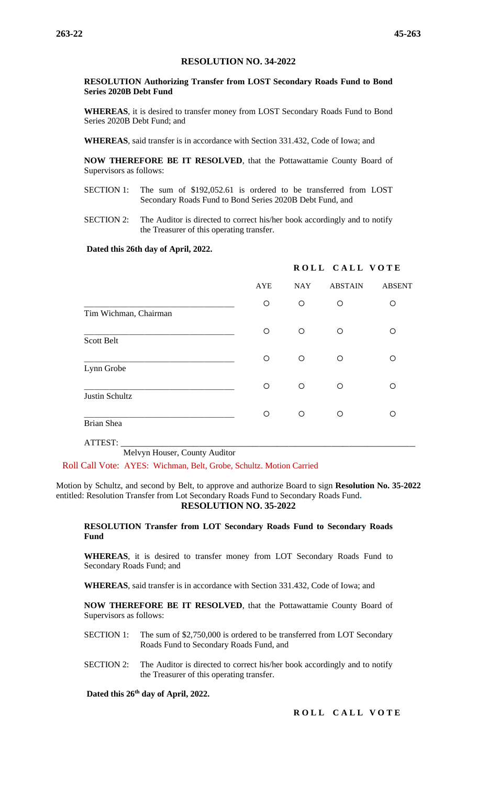### **RESOLUTION NO. 34-2022**

#### **RESOLUTION Authorizing Transfer from LOST Secondary Roads Fund to Bond Series 2020B Debt Fund**

**WHEREAS**, it is desired to transfer money from LOST Secondary Roads Fund to Bond Series 2020B Debt Fund; and

**WHEREAS**, said transfer is in accordance with Section 331.432, Code of Iowa; and

**NOW THEREFORE BE IT RESOLVED**, that the Pottawattamie County Board of Supervisors as follows:

- SECTION 1: The sum of \$192,052.61 is ordered to be transferred from LOST Secondary Roads Fund to Bond Series 2020B Debt Fund, and
- SECTION 2: The Auditor is directed to correct his/her book accordingly and to notify the Treasurer of this operating transfer.

#### **Dated this 26th day of April, 2022.**

|                       |            |            | ROLL CALL VOTE |               |
|-----------------------|------------|------------|----------------|---------------|
|                       | <b>AYE</b> | <b>NAY</b> | <b>ABSTAIN</b> | <b>ABSENT</b> |
| Tim Wichman, Chairman | O          | O          | O              | O             |
| Scott Belt            | $\circ$    | $\circ$    | O              | Ω             |
| Lynn Grobe            | O          | O          | O              | Ο             |
| Justin Schultz        | O          | O          | O              | Ο             |
| <b>Brian Shea</b>     | ◯          | $\circ$    | $\circ$        | ∩             |

ATTEST: \_\_\_\_\_\_\_\_\_\_\_\_\_\_\_\_\_\_\_\_\_\_\_\_\_\_\_\_\_\_\_\_\_\_\_\_\_\_\_\_\_\_\_\_\_\_\_\_\_ Melvyn Houser, County Auditor

Roll Call Vote: AYES: Wichman, Belt, Grobe, Schultz. Motion Carried

Motion by Schultz, and second by Belt, to approve and authorize Board to sign **Resolution No. 35-2022** entitled: Resolution Transfer from Lot Secondary Roads Fund to Secondary Roads Fund**. RESOLUTION NO. 35-2022** 

**RESOLUTION Transfer from LOT Secondary Roads Fund to Secondary Roads Fund**

**WHEREAS**, it is desired to transfer money from LOT Secondary Roads Fund to Secondary Roads Fund; and

**WHEREAS**, said transfer is in accordance with Section 331.432, Code of Iowa; and

**NOW THEREFORE BE IT RESOLVED**, that the Pottawattamie County Board of Supervisors as follows:

- SECTION 1: The sum of \$2,750,000 is ordered to be transferred from LOT Secondary Roads Fund to Secondary Roads Fund, and
- SECTION 2: The Auditor is directed to correct his/her book accordingly and to notify the Treasurer of this operating transfer.

 **Dated this 26th day of April, 2022.**

**ROLL CALL VOTE**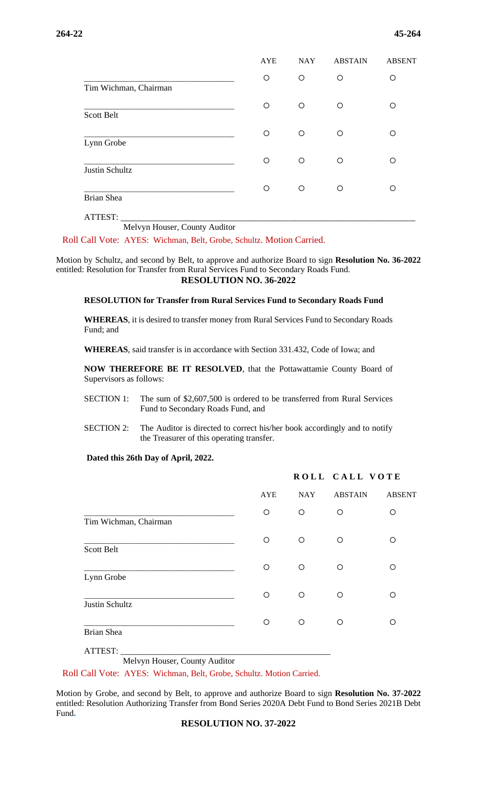|                       | <b>AYE</b> | <b>NAY</b> | <b>ABSTAIN</b> | <b>ABSENT</b> |
|-----------------------|------------|------------|----------------|---------------|
| Tim Wichman, Chairman | O          | O          | O              | O             |
| Scott Belt            | $\circ$    | $\circ$    | O              | Ω             |
| Lynn Grobe            | $\circ$    | $\circ$    | O              | O             |
| Justin Schultz        | $\circ$    | O          | O              | O             |
| <b>Brian Shea</b>     | O          | O          | O              | O             |
| ATTEST:               |            |            |                |               |

Melvyn Houser, County Auditor

Roll Call Vote: AYES: Wichman, Belt, Grobe, Schultz. Motion Carried.

Motion by Schultz, and second by Belt, to approve and authorize Board to sign **Resolution No. 36-2022** entitled: Resolution for Transfer from Rural Services Fund to Secondary Roads Fund. **RESOLUTION NO. 36-2022** 

#### **RESOLUTION for Transfer from Rural Services Fund to Secondary Roads Fund**

**WHEREAS**, it is desired to transfer money from Rural Services Fund to Secondary Roads Fund; and

**WHEREAS**, said transfer is in accordance with Section 331.432, Code of Iowa; and

**NOW THEREFORE BE IT RESOLVED**, that the Pottawattamie County Board of Supervisors as follows:

- SECTION 1: The sum of \$2,607,500 is ordered to be transferred from Rural Services Fund to Secondary Roads Fund, and
- SECTION 2: The Auditor is directed to correct his/her book accordingly and to notify the Treasurer of this operating transfer.

#### **Dated this 26th Day of April, 2022.**

|                       |            |            | ROLL CALL VOTE |               |
|-----------------------|------------|------------|----------------|---------------|
|                       | <b>AYE</b> | <b>NAY</b> | <b>ABSTAIN</b> | <b>ABSENT</b> |
| Tim Wichman, Chairman | $\circ$    | O          | O              | ∩             |
| <b>Scott Belt</b>     | O          | O          | $\circ$        | ∩             |
| Lynn Grobe            | O          | O          | $\circ$        | ∩             |
| Justin Schultz        | O          | O          | $\circ$        | ∩             |
| Brian Shea            | O          | O          | ◯              | ∩             |

ATTEST: \_\_\_\_\_\_\_\_\_\_\_\_\_\_\_\_\_\_\_\_\_\_\_\_\_\_\_\_\_\_\_\_\_\_\_\_\_\_\_\_\_\_\_\_\_\_\_\_\_

Melvyn Houser, County Auditor

Roll Call Vote: AYES: Wichman, Belt, Grobe, Schultz. Motion Carried.

Motion by Grobe, and second by Belt, to approve and authorize Board to sign **Resolution No. 37-2022** entitled: Resolution Authorizing Transfer from Bond Series 2020A Debt Fund to Bond Series 2021B Debt Fund**.**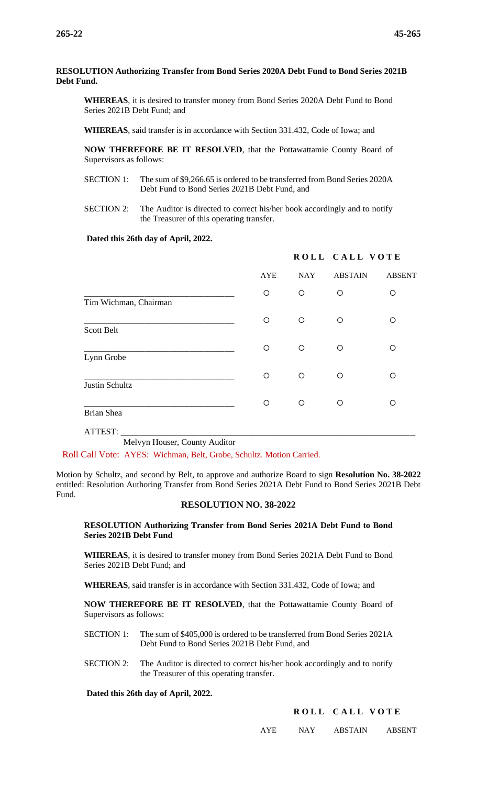#### **RESOLUTION Authorizing Transfer from Bond Series 2020A Debt Fund to Bond Series 2021B Debt Fund.**

**WHEREAS**, it is desired to transfer money from Bond Series 2020A Debt Fund to Bond Series 2021B Debt Fund; and

**WHEREAS**, said transfer is in accordance with Section 331.432, Code of Iowa; and

**NOW THEREFORE BE IT RESOLVED**, that the Pottawattamie County Board of Supervisors as follows:

- SECTION 1: The sum of \$9,266.65 is ordered to be transferred from Bond Series 2020A Debt Fund to Bond Series 2021B Debt Fund, and
- SECTION 2: The Auditor is directed to correct his/her book accordingly and to notify the Treasurer of this operating transfer.

### **Dated this 26th day of April, 2022.**

|                       |            |            | ROLL CALL VOTE |               |
|-----------------------|------------|------------|----------------|---------------|
|                       | <b>AYE</b> | <b>NAY</b> | <b>ABSTAIN</b> | <b>ABSENT</b> |
| Tim Wichman, Chairman | $\bigcirc$ | $\circ$    | O              | $\circ$       |
| Scott Belt            | O          | O          | O              | ∩             |
| Lynn Grobe            | O          | O          | $\circ$        | ∩             |
| Justin Schultz        | O          | O          | O              | ∩             |
| <b>Brian Shea</b>     | O          | O          | $\circ$        | ∩             |
| ATTEST:               |            |            |                |               |

Melvyn Houser, County Auditor

Roll Call Vote: AYES: Wichman, Belt, Grobe, Schultz. Motion Carried.

Motion by Schultz, and second by Belt, to approve and authorize Board to sign **Resolution No. 38-2022** entitled: Resolution Authoring Transfer from Bond Series 2021A Debt Fund to Bond Series 2021B Debt Fund.

#### **RESOLUTION NO. 38-2022**

#### **RESOLUTION Authorizing Transfer from Bond Series 2021A Debt Fund to Bond Series 2021B Debt Fund**

**WHEREAS**, it is desired to transfer money from Bond Series 2021A Debt Fund to Bond Series 2021B Debt Fund; and

**WHEREAS**, said transfer is in accordance with Section 331.432, Code of Iowa; and

**NOW THEREFORE BE IT RESOLVED**, that the Pottawattamie County Board of Supervisors as follows:

- SECTION 1: The sum of \$405,000 is ordered to be transferred from Bond Series 2021A Debt Fund to Bond Series 2021B Debt Fund, and
- SECTION 2: The Auditor is directed to correct his/her book accordingly and to notify the Treasurer of this operating transfer.

 **Dated this 26th day of April, 2022.**

### **ROLL CALL VOTE**

AYE NAY ABSTAIN ABSENT